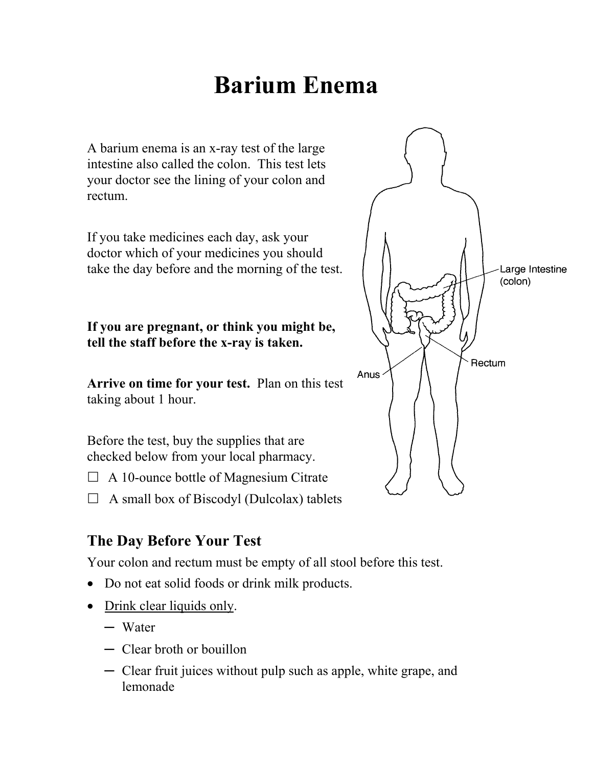# **Barium Enema**

A barium enema is an x-ray test of the large intestine also called the colon. This test lets your doctor see the lining of your colon and rectum.

If you take medicines each day, ask your doctor which of your medicines you should take the day before and the morning of the test.

**If you are pregnant, or think you might be, tell the staff before the x-ray is taken.** 

**Arrive on time for your test.** Plan on this test taking about 1 hour.

Before the test, buy the supplies that are checked below from your local pharmacy.

 $\Box$  A 10-ounce bottle of Magnesium Citrate

 $\Box$  A small box of Biscodyl (Dulcolax) tablets

### **The Day Before Your Test**

Your colon and rectum must be empty of all stool before this test.

- Do not eat solid foods or drink milk products.
- Drink clear liquids only.
	- ─ Water
	- ─ Clear broth or bouillon
	- ─ Clear fruit juices without pulp such as apple, white grape, and lemonade

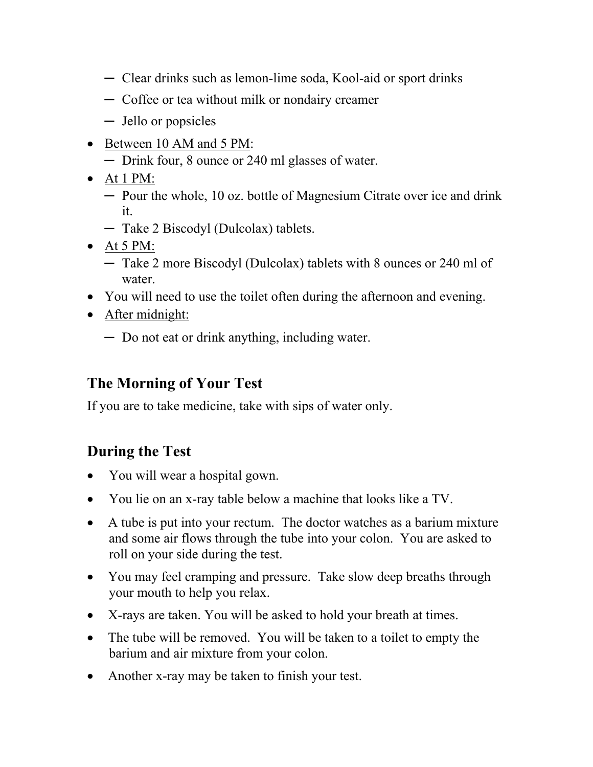- ─ Clear drinks such as lemon-lime soda, Kool-aid or sport drinks
- ─ Coffee or tea without milk or nondairy creamer
- ─ Jello or popsicles
- Between 10 AM and 5 PM:
	- ─ Drink four, 8 ounce or 240 ml glasses of water.
- At 1 PM:
	- ─ Pour the whole, 10 oz. bottle of Magnesium Citrate over ice and drink it.
	- ─ Take 2 Biscodyl (Dulcolax) tablets.
- $\bullet$  At 5 PM:
	- ─ Take 2 more Biscodyl (Dulcolax) tablets with 8 ounces or 240 ml of water.
- You will need to use the toilet often during the afternoon and evening.
- After midnight:
	- ─ Do not eat or drink anything, including water.

# **The Morning of Your Test**

If you are to take medicine, take with sips of water only.

# **During the Test**

- You will wear a hospital gown.
- You lie on an x-ray table below a machine that looks like a TV.
- A tube is put into your rectum. The doctor watches as a barium mixture and some air flows through the tube into your colon. You are asked to roll on your side during the test.
- You may feel cramping and pressure. Take slow deep breaths through your mouth to help you relax.
- X-rays are taken. You will be asked to hold your breath at times.
- The tube will be removed. You will be taken to a toilet to empty the barium and air mixture from your colon.
- Another x-ray may be taken to finish your test.